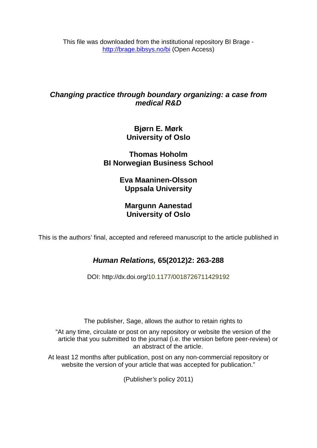This file was downloaded from the institutional repository BI Brage <http://brage.bibsys.no/bi> (Open Access)

## *Changing practice through boundary organizing: a case from medical R&D*

**Bjørn E. Mørk University of Oslo**

**Thomas Hoholm BI Norwegian Business School** 

> **Eva Maaninen-Olsson Uppsala University**

**Margunn Aanestad University of Oslo**

This is the authors' final, accepted and refereed manuscript to the article published in

# *Human Relations,* **65(2012)2: 263-288**

DOI: http://dx.doi.org/10.1177/0018726711429192

The publisher, Sage, allows the author to retain rights to

"At any time, circulate or post on any repository or website the version of the article that you submitted to the journal (i.e. the version before peer-review) or an abstract of the article.

At least 12 months after publication, post on any non-commercial repository or website the version of your article that was accepted for publication."

(Publisher*'s* policy 2011)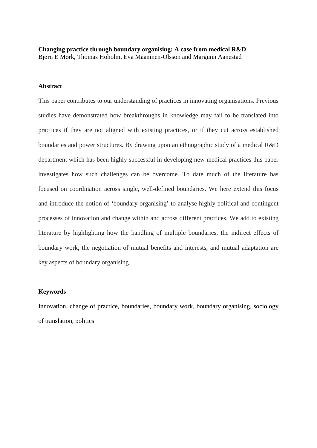**Changing practice through boundary organising: A case from medical R&D** Bjørn E Mørk, Thomas Hoholm, Eva Maaninen-Olsson and Margunn Aanestad

## **Abstract**

This paper contributes to our understanding of practices in innovating organisations. Previous studies have demonstrated how breakthroughs in knowledge may fail to be translated into practices if they are not aligned with existing practices, or if they cut across established boundaries and power structures. By drawing upon an ethnographic study of a medical R&D department which has been highly successful in developing new medical practices this paper investigates how such challenges can be overcome. To date much of the literature has focused on coordination across single, well-defined boundaries. We here extend this focus and introduce the notion of 'boundary organising' to analyse highly political and contingent processes of innovation and change within and across different practices. We add to existing literature by highlighting how the handling of multiple boundaries, the indirect effects of boundary work, the negotiation of mutual benefits and interests, and mutual adaptation are key aspects of boundary organising.

## **Keywords**

Innovation, change of practice, boundaries, boundary work, boundary organising, sociology of translation, politics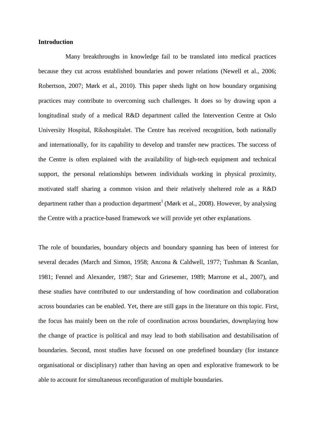## **Introduction**

Many breakthroughs in knowledge fail to be translated into medical practices because they cut across established boundaries and power relations (Newell et al., 2006; Robertson, 2007; Mørk et al., 2010). This paper sheds light on how boundary organising practices may contribute to overcoming such challenges. It does so by drawing upon a longitudinal study of a medical R&D department called the Intervention Centre at Oslo University Hospital, Rikshospitalet. The Centre has received recognition, both nationally and internationally, for its capability to develop and transfer new practices. The success of the Centre is often explained with the availability of high-tech equipment and technical support, the personal relationships between individuals working in physical proximity, motivated staff sharing a common vision and their relatively sheltered role as a R&D department rather than a production department<sup>1</sup> (Mørk et al., 2008). However, by analysing the Centre with a practice-based framework we will provide yet other explanations.

The role of boundaries, boundary objects and boundary spanning has been of interest for several decades (March and Simon, 1958; Ancona & Caldwell, 1977; Tushman & Scanlan, 1981; Fennel and Alexander, 1987; Star and Griesemer, 1989; Marrone et al., 2007), and these studies have contributed to our understanding of how coordination and collaboration across boundaries can be enabled. Yet, there are still gaps in the literature on this topic. First, the focus has mainly been on the role of coordination across boundaries, downplaying how the change of practice is political and may lead to both stabilisation and destabilisation of boundaries. Second, most studies have focused on one predefined boundary (for instance organisational or disciplinary) rather than having an open and explorative framework to be able to account for simultaneous reconfiguration of multiple boundaries.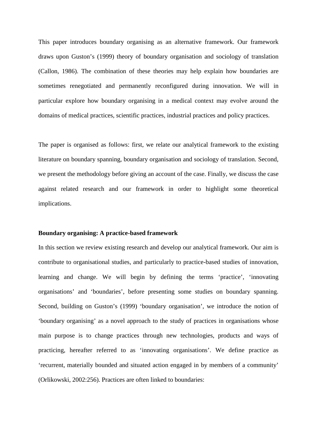This paper introduces boundary organising as an alternative framework. Our framework draws upon Guston's (1999) theory of boundary organisation and sociology of translation (Callon, 1986). The combination of these theories may help explain how boundaries are sometimes renegotiated and permanently reconfigured during innovation. We will in particular explore how boundary organising in a medical context may evolve around the domains of medical practices, scientific practices, industrial practices and policy practices.

The paper is organised as follows: first, we relate our analytical framework to the existing literature on boundary spanning, boundary organisation and sociology of translation. Second, we present the methodology before giving an account of the case. Finally, we discuss the case against related research and our framework in order to highlight some theoretical implications.

## **Boundary organising: A practice-based framework**

In this section we review existing research and develop our analytical framework. Our aim is contribute to organisational studies, and particularly to practice-based studies of innovation, learning and change. We will begin by defining the terms 'practice', 'innovating organisations' and 'boundaries', before presenting some studies on boundary spanning. Second, building on Guston's (1999) 'boundary organisation', we introduce the notion of 'boundary organising' as a novel approach to the study of practices in organisations whose main purpose is to change practices through new technologies, products and ways of practicing, hereafter referred to as 'innovating organisations'. We define practice as 'recurrent, materially bounded and situated action engaged in by members of a community' (Orlikowski, 2002:256). Practices are often linked to boundaries: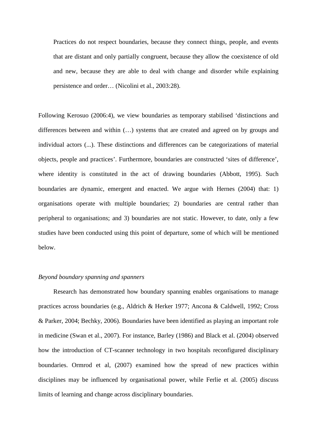Practices do not respect boundaries, because they connect things, people, and events that are distant and only partially congruent, because they allow the coexistence of old and new, because they are able to deal with change and disorder while explaining persistence and order… (Nicolini et al., 2003:28).

Following Kerosuo (2006:4), we view boundaries as temporary stabilised 'distinctions and differences between and within (…) systems that are created and agreed on by groups and individual actors (...). These distinctions and differences can be categorizations of material objects, people and practices'. Furthermore, boundaries are constructed 'sites of difference', where identity is constituted in the act of drawing boundaries (Abbott, 1995). Such boundaries are dynamic, emergent and enacted. We argue with Hernes (2004) that: 1) organisations operate with multiple boundaries; 2) boundaries are central rather than peripheral to organisations; and 3) boundaries are not static. However, to date, only a few studies have been conducted using this point of departure, some of which will be mentioned below.

## *Beyond boundary spanning and spanners*

Research has demonstrated how boundary spanning enables organisations to manage practices across boundaries (e.g., Aldrich & Herker 1977; Ancona & Caldwell, 1992; Cross & Parker, 2004; Bechky, 2006). Boundaries have been identified as playing an important role in medicine (Swan et al., 2007). For instance, Barley (1986) and Black et al. (2004) observed how the introduction of CT-scanner technology in two hospitals reconfigured disciplinary boundaries. Ormrod et al, (2007) examined how the spread of new practices within disciplines may be influenced by organisational power, while Ferlie et al. (2005) discuss limits of learning and change across disciplinary boundaries.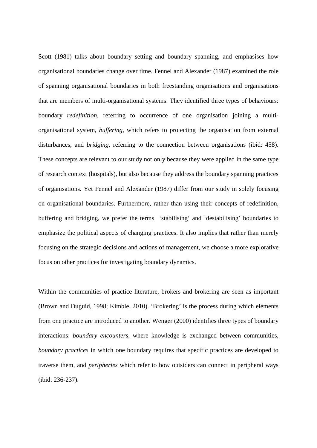Scott (1981) talks about boundary setting and boundary spanning, and emphasises how organisational boundaries change over time. Fennel and Alexander (1987) examined the role of spanning organisational boundaries in both freestanding organisations and organisations that are members of multi-organisational systems. They identified three types of behaviours: boundary *redefinition*, referring to occurrence of one organisation joining a multiorganisational system, *buffering,* which refers to protecting the organisation from external disturbances, and *bridging,* referring to the connection between organisations (ibid: 458). These concepts are relevant to our study not only because they were applied in the same type of research context (hospitals), but also because they address the boundary spanning practices of organisations. Yet Fennel and Alexander (1987) differ from our study in solely focusing on organisational boundaries. Furthermore, rather than using their concepts of redefinition, buffering and bridging, we prefer the terms 'stabilising' and 'destabilising' boundaries to emphasize the political aspects of changing practices. It also implies that rather than merely focusing on the strategic decisions and actions of management, we choose a more explorative focus on other practices for investigating boundary dynamics.

Within the communities of practice literature, brokers and brokering are seen as important (Brown and Duguid, 1998; Kimble, 2010). 'Brokering' is the process during which elements from one practice are introduced to another. Wenger (2000) identifies three types of boundary interactions: *boundary encounters,* where knowledge is exchanged between communities, *boundary practices* in which one boundary requires that specific practices are developed to traverse them, and *peripheries* which refer to how outsiders can connect in peripheral ways (ibid: 236-237).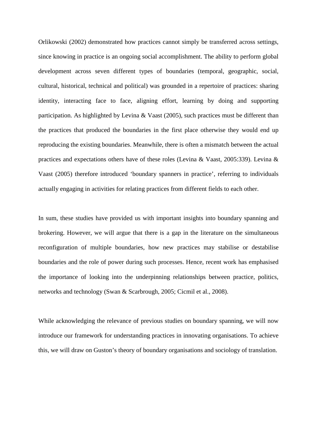Orlikowski (2002) demonstrated how practices cannot simply be transferred across settings, since knowing in practice is an ongoing social accomplishment. The ability to perform global development across seven different types of boundaries (temporal, geographic, social, cultural, historical, technical and political) was grounded in a repertoire of practices: sharing identity, interacting face to face, aligning effort, learning by doing and supporting participation. As highlighted by Levina & Vaast (2005), such practices must be different than the practices that produced the boundaries in the first place otherwise they would end up reproducing the existing boundaries. Meanwhile, there is often a mismatch between the actual practices and expectations others have of these roles (Levina & Vaast, 2005:339). Levina & Vaast (2005) therefore introduced 'boundary spanners in practice', referring to individuals actually engaging in activities for relating practices from different fields to each other.

In sum, these studies have provided us with important insights into boundary spanning and brokering. However, we will argue that there is a gap in the literature on the simultaneous reconfiguration of multiple boundaries, how new practices may stabilise or destabilise boundaries and the role of power during such processes. Hence, recent work has emphasised the importance of looking into the underpinning relationships between practice, politics, networks and technology (Swan & Scarbrough, 2005; Cicmil et al., 2008).

While acknowledging the relevance of previous studies on boundary spanning, we will now introduce our framework for understanding practices in innovating organisations. To achieve this, we will draw on Guston's theory of boundary organisations and sociology of translation.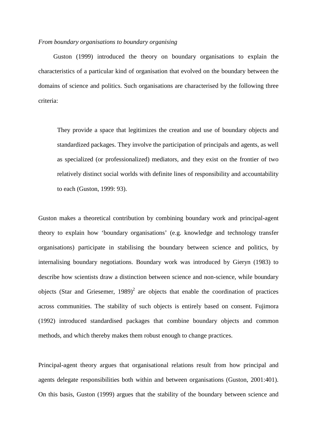## *From boundary organisations to boundary organising*

Guston (1999) introduced the theory on boundary organisations to explain the characteristics of a particular kind of organisation that evolved on the boundary between the domains of science and politics. Such organisations are characterised by the following three criteria:

They provide a space that legitimizes the creation and use of boundary objects and standardized packages. They involve the participation of principals and agents, as well as specialized (or professionalized) mediators, and they exist on the frontier of two relatively distinct social worlds with definite lines of responsibility and accountability to each (Guston, 1999: 93).

Guston makes a theoretical contribution by combining boundary work and principal-agent theory to explain how 'boundary organisations' (e.g. knowledge and technology transfer organisations) participate in stabilising the boundary between science and politics, by internalising boundary negotiations. Boundary work was introduced by Gieryn (1983) to describe how scientists draw a distinction between science and non-science, while boundary objects (Star and Griesemer,  $1989$ )<sup>2</sup> are objects that enable the coordination of practices across communities. The stability of such objects is entirely based on consent. Fujimora (1992) introduced standardised packages that combine boundary objects and common methods, and which thereby makes them robust enough to change practices.

Principal-agent theory argues that organisational relations result from how principal and agents delegate responsibilities both within and between organisations (Guston, 2001:401). On this basis, Guston (1999) argues that the stability of the boundary between science and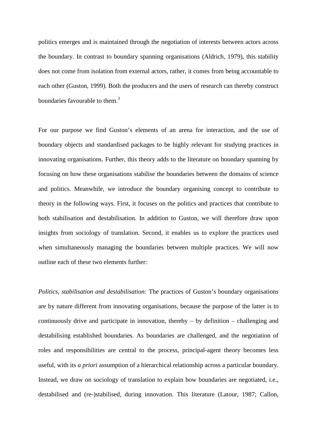politics emerges and is maintained through the negotiation of interests between actors across the boundary. In contrast to boundary spanning organisations (Aldrich, 1979), this stability does not come from isolation from external actors, rather, it comes from being accountable to each other (Guston, 1999). Both the producers and the users of research can thereby construct boundaries favourable to them.<sup>3</sup>

For our purpose we find Guston's elements of an arena for interaction, and the use of boundary objects and standardised packages to be highly relevant for studying practices in innovating organisations. Further, this theory adds to the literature on boundary spanning by focusing on how these organisations stabilise the boundaries between the domains of science and politics. Meanwhile, we introduce the boundary organising concept to contribute to theory in the following ways. First, it focuses on the politics and practices that contribute to both stabilisation and destabilisation. In addition to Guston, we will therefore draw upon insights from sociology of translation. Second, it enables us to explore the practices used when simultaneously managing the boundaries between multiple practices. We will now outline each of these two elements further:

*Politics, stabilisation and destabilisation:* The practices of Guston's boundary organisations are by nature different from innovating organisations, because the purpose of the latter is to continuously drive and participate in innovation, thereby – by definition – challenging and destabilising established boundaries. As boundaries are challenged, and the negotiation of roles and responsibilities are central to the process, principal-agent theory becomes less useful, with its *a priori* assumption of a hierarchical relationship across a particular boundary. Instead, we draw on sociology of translation to explain how boundaries are negotiated, i.e., destabilised and (re-)stabilised, during innovation. This literature (Latour, 1987; Callon,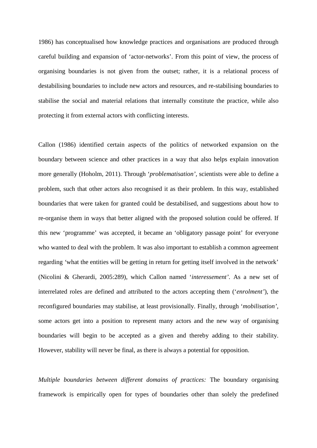1986) has conceptualised how knowledge practices and organisations are produced through careful building and expansion of 'actor-networks'. From this point of view, the process of organising boundaries is not given from the outset; rather, it is a relational process of destabilising boundaries to include new actors and resources, and re-stabilising boundaries to stabilise the social and material relations that internally constitute the practice, while also protecting it from external actors with conflicting interests.

Callon (1986) identified certain aspects of the politics of networked expansion on the boundary between science and other practices in a way that also helps explain innovation more generally (Hoholm, 2011). Through '*problematisation',* scientists were able to define a problem, such that other actors also recognised it as their problem. In this way, established boundaries that were taken for granted could be destabilised, and suggestions about how to re-organise them in ways that better aligned with the proposed solution could be offered. If this new 'programme' was accepted, it became an 'obligatory passage point' for everyone who wanted to deal with the problem. It was also important to establish a common agreement regarding *'*what the entities will be getting in return for getting itself involved in the network' (Nicolini & Gherardi, 2005:289), which Callon named '*interessement'*. As a new set of interrelated roles are defined and attributed to the actors accepting them ('*enrolment'*), the reconfigured boundaries may stabilise, at least provisionally. Finally, through '*mobilisation',* some actors get into a position to represent many actors and the new way of organising boundaries will begin to be accepted as a given and thereby adding to their stability. However, stability will never be final, as there is always a potential for opposition.

*Multiple boundaries between different domains of practices:* The boundary organising framework is empirically open for types of boundaries other than solely the predefined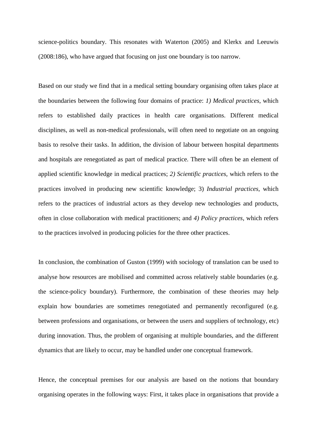science-politics boundary. This resonates with Waterton (2005) and Klerkx and Leeuwis (2008:186), who have argued that focusing on just one boundary is too narrow.

Based on our study we find that in a medical setting boundary organising often takes place at the boundaries between the following four domains of practice: *1) Medical practices*, which refers to established daily practices in health care organisations. Different medical disciplines, as well as non-medical professionals, will often need to negotiate on an ongoing basis to resolve their tasks. In addition, the division of labour between hospital departments and hospitals are renegotiated as part of medical practice. There will often be an element of applied scientific knowledge in medical practices; *2) Scientific practices,* which refers to the practices involved in producing new scientific knowledge; 3) *Industrial practices,* which refers to the practices of industrial actors as they develop new technologies and products, often in close collaboration with medical practitioners; and *4) Policy practices*, which refers to the practices involved in producing policies for the three other practices.

In conclusion, the combination of Guston (1999) with sociology of translation can be used to analyse how resources are mobilised and committed across relatively stable boundaries (e.g. the science-policy boundary). Furthermore, the combination of these theories may help explain how boundaries are sometimes renegotiated and permanently reconfigured (e.g. between professions and organisations, or between the users and suppliers of technology, etc) during innovation. Thus, the problem of organising at multiple boundaries, and the different dynamics that are likely to occur, may be handled under one conceptual framework.

Hence, the conceptual premises for our analysis are based on the notions that boundary organising operates in the following ways: First, it takes place in organisations that provide a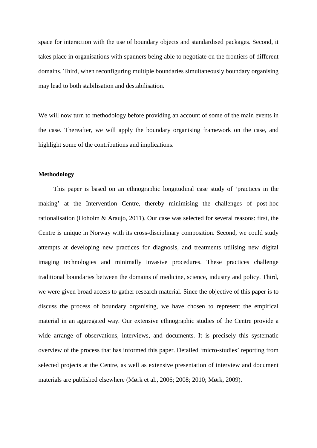space for interaction with the use of boundary objects and standardised packages. Second, it takes place in organisations with spanners being able to negotiate on the frontiers of different domains. Third, when reconfiguring multiple boundaries simultaneously boundary organising may lead to both stabilisation and destabilisation.

We will now turn to methodology before providing an account of some of the main events in the case. Thereafter, we will apply the boundary organising framework on the case, and highlight some of the contributions and implications.

## **Methodology**

This paper is based on an ethnographic longitudinal case study of 'practices in the making' at the Intervention Centre, thereby minimising the challenges of post-hoc rationalisation (Hoholm & Araujo, 2011). Our case was selected for several reasons: first, the Centre is unique in Norway with its cross-disciplinary composition. Second, we could study attempts at developing new practices for diagnosis, and treatments utilising new digital imaging technologies and minimally invasive procedures. These practices challenge traditional boundaries between the domains of medicine, science, industry and policy. Third, we were given broad access to gather research material. Since the objective of this paper is to discuss the process of boundary organising, we have chosen to represent the empirical material in an aggregated way. Our extensive ethnographic studies of the Centre provide a wide arrange of observations, interviews, and documents. It is precisely this systematic overview of the process that has informed this paper. Detailed 'micro-studies' reporting from selected projects at the Centre, as well as extensive presentation of interview and document materials are published elsewhere (Mørk et al., 2006; 2008; 2010; Mørk, 2009).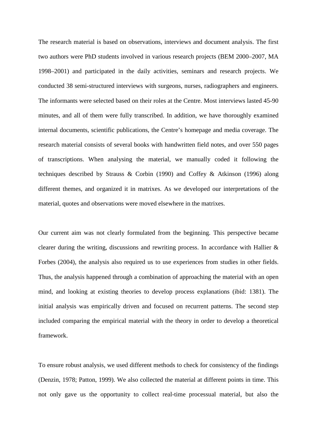The research material is based on observations, interviews and document analysis. The first two authors were PhD students involved in various research projects (BEM 2000–2007, MA 1998–2001) and participated in the daily activities, seminars and research projects. We conducted 38 semi-structured interviews with surgeons, nurses, radiographers and engineers. The informants were selected based on their roles at the Centre. Most interviews lasted 45-90 minutes, and all of them were fully transcribed. In addition, we have thoroughly examined internal documents, scientific publications, the Centre's homepage and media coverage. The research material consists of several books with handwritten field notes, and over 550 pages of transcriptions. When analysing the material, we manually coded it following the techniques described by Strauss & Corbin (1990) and Coffey & Atkinson (1996) along different themes, and organized it in matrixes. As we developed our interpretations of the material, quotes and observations were moved elsewhere in the matrixes.

Our current aim was not clearly formulated from the beginning. This perspective became clearer during the writing, discussions and rewriting process. In accordance with Hallier & Forbes (2004), the analysis also required us to use experiences from studies in other fields. Thus, the analysis happened through a combination of approaching the material with an open mind, and looking at existing theories to develop process explanations (ibid: 1381). The initial analysis was empirically driven and focused on recurrent patterns. The second step included comparing the empirical material with the theory in order to develop a theoretical framework.

To ensure robust analysis, we used different methods to check for consistency of the findings (Denzin, 1978; Patton, 1999). We also collected the material at different points in time. This not only gave us the opportunity to collect real-time processual material, but also the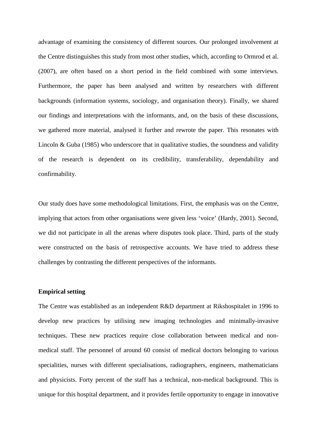advantage of examining the consistency of different sources. Our prolonged involvement at the Centre distinguishes this study from most other studies, which, according to Ormrod et al. (2007), are often based on a short period in the field combined with some interviews. Furthermore, the paper has been analysed and written by researchers with different backgrounds (information systems, sociology, and organisation theory). Finally, we shared our findings and interpretations with the informants, and, on the basis of these discussions, we gathered more material, analysed it further and rewrote the paper. This resonates with Lincoln & Guba  $(1985)$  who underscore that in qualitative studies, the soundness and validity of the research is dependent on its credibility, transferability, dependability and confirmability.

Our study does have some methodological limitations. First, the emphasis was on the Centre, implying that actors from other organisations were given less 'voice' (Hardy, 2001). Second, we did not participate in all the arenas where disputes took place. Third, parts of the study were constructed on the basis of retrospective accounts. We have tried to address these challenges by contrasting the different perspectives of the informants.

## **Empirical setting**

The Centre was established as an independent R&D department at Rikshospitalet in 1996 to develop new practices by utilising new imaging technologies and minimally-invasive techniques. These new practices require close collaboration between medical and nonmedical staff. The personnel of around 60 consist of medical doctors belonging to various specialities, nurses with different specialisations, radiographers, engineers, mathematicians and physicists. Forty percent of the staff has a technical, non-medical background. This is unique for this hospital department, and it provides fertile opportunity to engage in innovative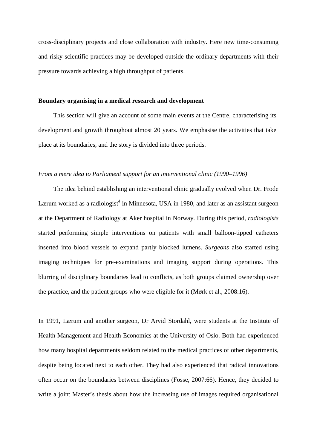cross-disciplinary projects and close collaboration with industry. Here new time-consuming and risky scientific practices may be developed outside the ordinary departments with their pressure towards achieving a high throughput of patients.

#### **Boundary organising in a medical research and development**

This section will give an account of some main events at the Centre, characterising its development and growth throughout almost 20 years. We emphasise the activities that take place at its boundaries, and the story is divided into three periods.

#### *From a mere idea to Parliament support for an interventional clinic (1990–1996)*

The idea behind establishing an interventional clinic gradually evolved when Dr. Frode Lærum worked as a radiologist<sup>4</sup> in Minnesota, USA in 1980, and later as an assistant surgeon at the Department of Radiology at Aker hospital in Norway. During this period, *radiologists* started performing simple interventions on patients with small balloon-tipped catheters inserted into blood vessels to expand partly blocked lumens. *Surgeons* also started using imaging techniques for pre-examinations and imaging support during operations. This blurring of disciplinary boundaries lead to conflicts, as both groups claimed ownership over the practice, and the patient groups who were eligible for it (Mørk et al., 2008:16).

In 1991, Lærum and another surgeon, Dr Arvid Stordahl, were students at the Institute of Health Management and Health Economics at the University of Oslo. Both had experienced how many hospital departments seldom related to the medical practices of other departments, despite being located next to each other. They had also experienced that radical innovations often occur on the boundaries between disciplines (Fosse, 2007:66). Hence, they decided to write a joint Master's thesis about how the increasing use of images required organisational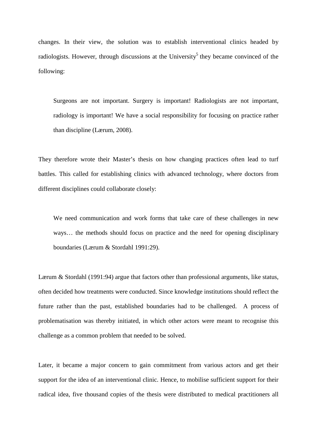changes. In their view, the solution was to establish interventional clinics headed by radiologists. However, through discussions at the University<sup>5</sup> they became convinced of the following:

Surgeons are not important. Surgery is important! Radiologists are not important, radiology is important! We have a social responsibility for focusing on practice rather than discipline (Lærum, 2008).

They therefore wrote their Master's thesis on how changing practices often lead to turf battles. This called for establishing clinics with advanced technology, where doctors from different disciplines could collaborate closely:

We need communication and work forms that take care of these challenges in new ways… the methods should focus on practice and the need for opening disciplinary boundaries (Lærum & Stordahl 1991:29).

Lærum & Stordahl (1991:94) argue that factors other than professional arguments, like status, often decided how treatments were conducted. Since knowledge institutions should reflect the future rather than the past, established boundaries had to be challenged. A process of problematisation was thereby initiated, in which other actors were meant to recognise this challenge as a common problem that needed to be solved.

Later, it became a major concern to gain commitment from various actors and get their support for the idea of an interventional clinic. Hence, to mobilise sufficient support for their radical idea, five thousand copies of the thesis were distributed to medical practitioners all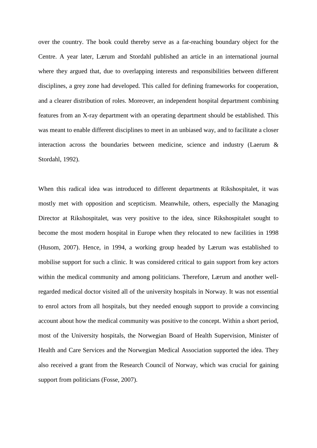over the country. The book could thereby serve as a far-reaching boundary object for the Centre. A year later, Lærum and Stordahl published an article in an international journal where they argued that, due to overlapping interests and responsibilities between different disciplines, a grey zone had developed. This called for defining frameworks for cooperation, and a clearer distribution of roles. Moreover, an independent hospital department combining features from an X-ray department with an operating department should be established. This was meant to enable different disciplines to meet in an unbiased way, and to facilitate a closer interaction across the boundaries between medicine, science and industry (Laerum & Stordahl, 1992).

When this radical idea was introduced to different departments at Rikshospitalet, it was mostly met with opposition and scepticism. Meanwhile, others, especially the Managing Director at Rikshospitalet, was very positive to the idea, since Rikshospitalet sought to become the most modern hospital in Europe when they relocated to new facilities in 1998 (Husom, 2007). Hence, in 1994, a working group headed by Lærum was established to mobilise support for such a clinic. It was considered critical to gain support from key actors within the medical community and among politicians. Therefore, Lærum and another wellregarded medical doctor visited all of the university hospitals in Norway. It was not essential to enrol actors from all hospitals, but they needed enough support to provide a convincing account about how the medical community was positive to the concept. Within a short period, most of the University hospitals, the Norwegian Board of Health Supervision, Minister of Health and Care Services and the Norwegian Medical Association supported the idea. They also received a grant from the Research Council of Norway, which was crucial for gaining support from politicians (Fosse, 2007).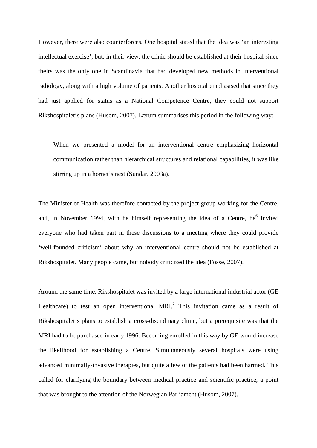However, there were also counterforces. One hospital stated that the idea was 'an interesting intellectual exercise', but, in their view, the clinic should be established at their hospital since theirs was the only one in Scandinavia that had developed new methods in interventional radiology, along with a high volume of patients. Another hospital emphasised that since they had just applied for status as a National Competence Centre, they could not support Rikshospitalet's plans (Husom, 2007). Lærum summarises this period in the following way:

When we presented a model for an interventional centre emphasizing horizontal communication rather than hierarchical structures and relational capabilities, it was like stirring up in a hornet's nest (Sundar, 2003a).

The Minister of Health was therefore contacted by the project group working for the Centre, and, in November 1994, with he himself representing the idea of a Centre,  $he^6$  invited everyone who had taken part in these discussions to a meeting where they could provide 'well-founded criticism' about why an interventional centre should not be established at Rikshospitalet. Many people came, but nobody criticized the idea (Fosse, 2007).

Around the same time, Rikshospitalet was invited by a large international industrial actor (GE Healthcare) to test an open interventional MRI.<sup>7</sup> This invitation came as a result of Rikshospitalet's plans to establish a cross-disciplinary clinic, but a prerequisite was that the MRI had to be purchased in early 1996. Becoming enrolled in this way by GE would increase the likelihood for establishing a Centre. Simultaneously several hospitals were using advanced minimally-invasive therapies, but quite a few of the patients had been harmed. This called for clarifying the boundary between medical practice and scientific practice, a point that was brought to the attention of the Norwegian Parliament (Husom, 2007).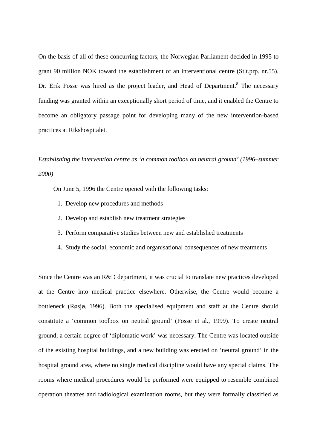On the basis of all of these concurring factors, the Norwegian Parliament decided in 1995 to grant 90 million NOK toward the establishment of an interventional centre (St.t.prp. nr.55). Dr. Erik Fosse was hired as the project leader, and Head of Department.<sup>8</sup> The necessary funding was granted within an exceptionally short period of time, and it enabled the Centre to become an obligatory passage point for developing many of the new intervention-based practices at Rikshospitalet.

# *Establishing the intervention centre as 'a common toolbox on neutral ground' (1996–summer 2000)*

On June 5, 1996 the Centre opened with the following tasks:

- 1. Develop new procedures and methods
- 2. Develop and establish new treatment strategies
- 3. Perform comparative studies between new and established treatments
- 4. Study the social, economic and organisational consequences of new treatments

Since the Centre was an R&D department, it was crucial to translate new practices developed at the Centre into medical practice elsewhere. Otherwise, the Centre would become a bottleneck (Røsjø, 1996). Both the specialised equipment and staff at the Centre should constitute a 'common toolbox on neutral ground' (Fosse et al., 1999). To create neutral ground, a certain degree of 'diplomatic work' was necessary. The Centre was located outside of the existing hospital buildings, and a new building was erected on 'neutral ground' in the hospital ground area, where no single medical discipline would have any special claims. The rooms where medical procedures would be performed were equipped to resemble combined operation theatres and radiological examination rooms, but they were formally classified as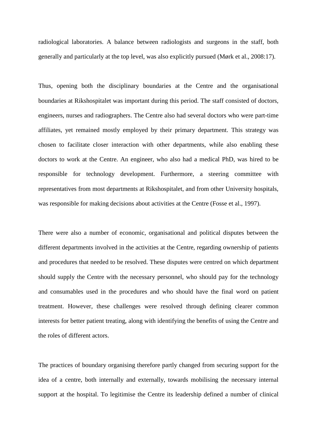radiological laboratories. A balance between radiologists and surgeons in the staff, both generally and particularly at the top level, was also explicitly pursued (Mørk et al., 2008:17).

Thus, opening both the disciplinary boundaries at the Centre and the organisational boundaries at Rikshospitalet was important during this period. The staff consisted of doctors, engineers, nurses and radiographers. The Centre also had several doctors who were part-time affiliates, yet remained mostly employed by their primary department. This strategy was chosen to facilitate closer interaction with other departments, while also enabling these doctors to work at the Centre. An engineer, who also had a medical PhD, was hired to be responsible for technology development. Furthermore, a steering committee with representatives from most departments at Rikshospitalet, and from other University hospitals, was responsible for making decisions about activities at the Centre (Fosse et al., 1997).

There were also a number of economic, organisational and political disputes between the different departments involved in the activities at the Centre, regarding ownership of patients and procedures that needed to be resolved. These disputes were centred on which department should supply the Centre with the necessary personnel, who should pay for the technology and consumables used in the procedures and who should have the final word on patient treatment. However, these challenges were resolved through defining clearer common interests for better patient treating, along with identifying the benefits of using the Centre and the roles of different actors.

The practices of boundary organising therefore partly changed from securing support for the idea of a centre, both internally and externally, towards mobilising the necessary internal support at the hospital. To legitimise the Centre its leadership defined a number of clinical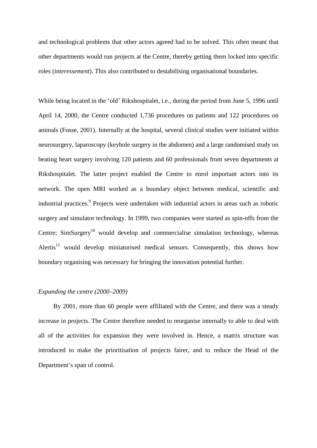and technological problems that other actors agreed had to be solved. This often meant that other departments would run projects at the Centre, thereby getting them locked into specific roles (*interessement*). This also contributed to destabilising organisational boundaries.

While being located in the 'old' Rikshospitalet, i.e., during the period from June 5, 1996 until April 14, 2000, the Centre conducted 1,736 procedures on patients and 122 procedures on animals (Fosse, 2001). Internally at the hospital, several clinical studies were initiated within neurosurgery, laparoscopy (keyhole surgery in the abdomen) and a large randomised study on beating heart surgery involving 120 patients and 60 professionals from seven departments at Rikshospitalet. The latter project enabled the Centre to enrol important actors into its network. The open MRI worked as a boundary object between medical, scientific and industrial practices. <sup>9</sup> Projects were undertaken with industrial actors in areas such as robotic surgery and simulator technology. In 1999, two companies were started as spin-offs from the Centre;  $SimSurgery<sup>10</sup>$  would develop and commercialise simulation technology, whereas Alertis<sup>11</sup> would develop miniaturised medical sensors. Consequently, this shows how boundary organising was necessary for bringing the innovation potential further.

## *Expanding the centre (2000–2009)*

By 2001, more than 60 people were affiliated with the Centre, and there was a steady increase in projects. The Centre therefore needed to reorganise internally to able to deal with all of the activities for expansion they were involved in. Hence, a matrix structure was introduced to make the prioritisation of projects fairer, and to reduce the Head of the Department's span of control.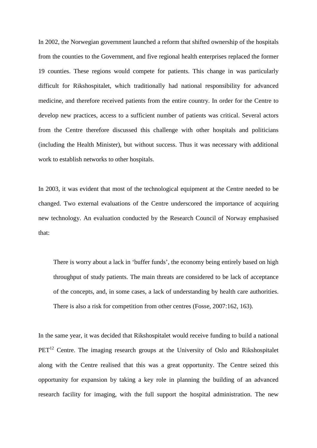In 2002, the Norwegian government launched a reform that shifted ownership of the hospitals from the counties to the Government, and five regional health enterprises replaced the former 19 counties. These regions would compete for patients. This change in was particularly difficult for Rikshospitalet, which traditionally had national responsibility for advanced medicine, and therefore received patients from the entire country. In order for the Centre to develop new practices, access to a sufficient number of patients was critical. Several actors from the Centre therefore discussed this challenge with other hospitals and politicians (including the Health Minister), but without success. Thus it was necessary with additional work to establish networks to other hospitals.

In 2003, it was evident that most of the technological equipment at the Centre needed to be changed. Two external evaluations of the Centre underscored the importance of acquiring new technology. An evaluation conducted by the Research Council of Norway emphasised that:

There is worry about a lack in 'buffer funds', the economy being entirely based on high throughput of study patients. The main threats are considered to be lack of acceptance of the concepts, and, in some cases, a lack of understanding by health care authorities. There is also a risk for competition from other centres (Fosse, 2007:162, 163).

In the same year, it was decided that Rikshospitalet would receive funding to build a national  $PET<sup>12</sup>$  Centre. The imaging research groups at the University of Oslo and Rikshospitalet along with the Centre realised that this was a great opportunity. The Centre seized this opportunity for expansion by taking a key role in planning the building of an advanced research facility for imaging, with the full support the hospital administration. The new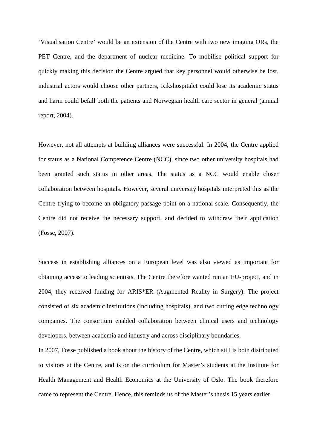'Visualisation Centre' would be an extension of the Centre with two new imaging ORs, the PET Centre, and the department of nuclear medicine. To mobilise political support for quickly making this decision the Centre argued that key personnel would otherwise be lost, industrial actors would choose other partners, Rikshospitalet could lose its academic status and harm could befall both the patients and Norwegian health care sector in general (annual report, 2004).

However, not all attempts at building alliances were successful. In 2004, the Centre applied for status as a National Competence Centre (NCC), since two other university hospitals had been granted such status in other areas. The status as a NCC would enable closer collaboration between hospitals. However, several university hospitals interpreted this as the Centre trying to become an obligatory passage point on a national scale. Consequently, the Centre did not receive the necessary support, and decided to withdraw their application (Fosse, 2007).

Success in establishing alliances on a European level was also viewed as important for obtaining access to leading scientists. The Centre therefore wanted run an EU-project, and in 2004, they received funding for ARIS\*ER (Augmented Reality in Surgery). The project consisted of six academic institutions (including hospitals), and two cutting edge technology companies. The consortium enabled collaboration between clinical users and technology developers, between academia and industry and across disciplinary boundaries.

In 2007, Fosse published a book about the history of the Centre, which still is both distributed to visitors at the Centre, and is on the curriculum for Master's students at the Institute for Health Management and Health Economics at the University of Oslo. The book therefore came to represent the Centre. Hence, this reminds us of the Master's thesis 15 years earlier.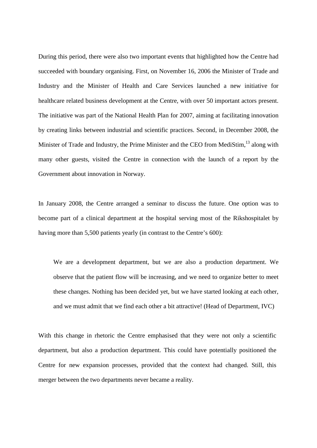During this period, there were also two important events that highlighted how the Centre had succeeded with boundary organising. First, on November 16, 2006 the Minister of Trade and Industry and the Minister of Health and Care Services launched a new initiative for healthcare related business development at the Centre, with over 50 important actors present. The initiative was part of the National Health Plan for 2007, aiming at facilitating innovation by creating links between industrial and scientific practices. Second, in December 2008, the Minister of Trade and Industry, the Prime Minister and the CEO from MediStim,<sup>13</sup> along with many other guests, visited the Centre in connection with the launch of a report by the Government about innovation in Norway.

In January 2008, the Centre arranged a seminar to discuss the future. One option was to become part of a clinical department at the hospital serving most of the Rikshospitalet by having more than 5,500 patients yearly (in contrast to the Centre's 600):

We are a development department, but we are also a production department. We observe that the patient flow will be increasing, and we need to organize better to meet these changes. Nothing has been decided yet, but we have started looking at each other, and we must admit that we find each other a bit attractive! (Head of Department, IVC)

With this change in rhetoric the Centre emphasised that they were not only a scientific department, but also a production department. This could have potentially positioned the Centre for new expansion processes, provided that the context had changed. Still, this merger between the two departments never became a reality.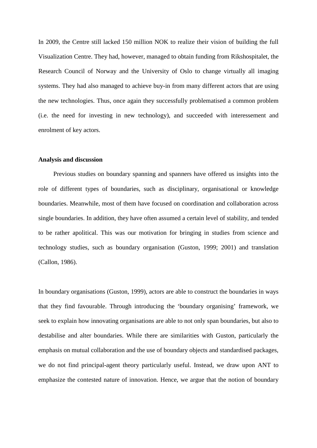In 2009, the Centre still lacked 150 million NOK to realize their vision of building the full Visualization Centre. They had, however, managed to obtain funding from Rikshospitalet, the Research Council of Norway and the University of Oslo to change virtually all imaging systems. They had also managed to achieve buy-in from many different actors that are using the new technologies. Thus, once again they successfully problematised a common problem (i.e. the need for investing in new technology), and succeeded with interessement and enrolment of key actors.

#### **Analysis and discussion**

Previous studies on boundary spanning and spanners have offered us insights into the role of different types of boundaries, such as disciplinary, organisational or knowledge boundaries. Meanwhile, most of them have focused on coordination and collaboration across single boundaries. In addition, they have often assumed a certain level of stability, and tended to be rather apolitical. This was our motivation for bringing in studies from science and technology studies, such as boundary organisation (Guston, 1999; 2001) and translation (Callon, 1986).

In boundary organisations (Guston, 1999), actors are able to construct the boundaries in ways that they find favourable. Through introducing the 'boundary organising' framework, we seek to explain how innovating organisations are able to not only span boundaries, but also to destabilise and alter boundaries. While there are similarities with Guston, particularly the emphasis on mutual collaboration and the use of boundary objects and standardised packages, we do not find principal-agent theory particularly useful. Instead, we draw upon ANT to emphasize the contested nature of innovation. Hence, we argue that the notion of boundary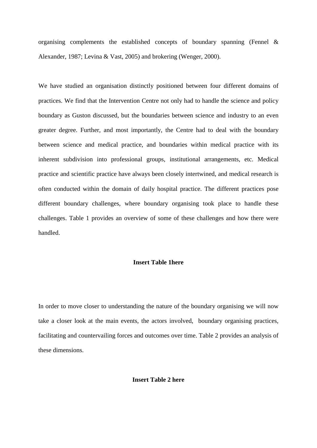organising complements the established concepts of boundary spanning (Fennel & Alexander, 1987; Levina & Vast, 2005) and brokering (Wenger, 2000).

We have studied an organisation distinctly positioned between four different domains of practices. We find that the Intervention Centre not only had to handle the science and policy boundary as Guston discussed, but the boundaries between science and industry to an even greater degree. Further, and most importantly, the Centre had to deal with the boundary between science and medical practice, and boundaries within medical practice with its inherent subdivision into professional groups, institutional arrangements, etc. Medical practice and scientific practice have always been closely intertwined, and medical research is often conducted within the domain of daily hospital practice. The different practices pose different boundary challenges, where boundary organising took place to handle these challenges. Table 1 provides an overview of some of these challenges and how there were handled.

## **Insert Table 1here**

In order to move closer to understanding the nature of the boundary organising we will now take a closer look at the main events, the actors involved, boundary organising practices, facilitating and countervailing forces and outcomes over time. Table 2 provides an analysis of these dimensions.

## **Insert Table 2 here**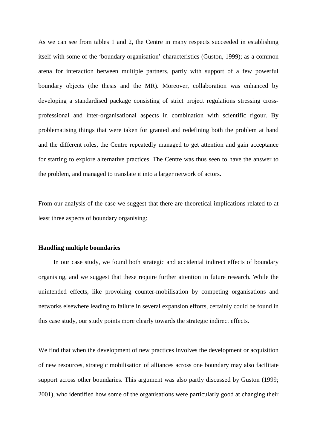As we can see from tables 1 and 2, the Centre in many respects succeeded in establishing itself with some of the 'boundary organisation' characteristics (Guston, 1999); as a common arena for interaction between multiple partners, partly with support of a few powerful boundary objects (the thesis and the MR). Moreover, collaboration was enhanced by developing a standardised package consisting of strict project regulations stressing crossprofessional and inter-organisational aspects in combination with scientific rigour. By problematising things that were taken for granted and redefining both the problem at hand and the different roles, the Centre repeatedly managed to get attention and gain acceptance for starting to explore alternative practices. The Centre was thus seen to have the answer to the problem, and managed to translate it into a larger network of actors.

From our analysis of the case we suggest that there are theoretical implications related to at least three aspects of boundary organising:

#### **Handling multiple boundaries**

In our case study, we found both strategic and accidental indirect effects of boundary organising, and we suggest that these require further attention in future research. While the unintended effects, like provoking counter-mobilisation by competing organisations and networks elsewhere leading to failure in several expansion efforts, certainly could be found in this case study, our study points more clearly towards the strategic indirect effects.

We find that when the development of new practices involves the development or acquisition of new resources, strategic mobilisation of alliances across one boundary may also facilitate support across other boundaries. This argument was also partly discussed by Guston (1999; 2001), who identified how some of the organisations were particularly good at changing their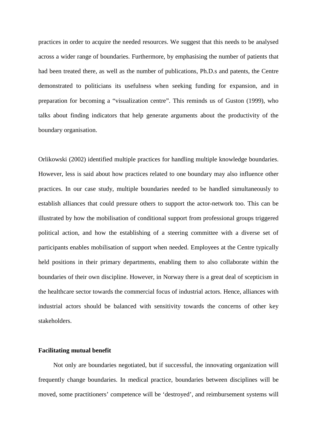practices in order to acquire the needed resources. We suggest that this needs to be analysed across a wider range of boundaries. Furthermore, by emphasising the number of patients that had been treated there, as well as the number of publications, Ph.D.s and patents, the Centre demonstrated to politicians its usefulness when seeking funding for expansion, and in preparation for becoming a "visualization centre". This reminds us of Guston (1999), who talks about finding indicators that help generate arguments about the productivity of the boundary organisation.

Orlikowski (2002) identified multiple practices for handling multiple knowledge boundaries. However, less is said about how practices related to one boundary may also influence other practices. In our case study, multiple boundaries needed to be handled simultaneously to establish alliances that could pressure others to support the actor-network too. This can be illustrated by how the mobilisation of conditional support from professional groups triggered political action, and how the establishing of a steering committee with a diverse set of participants enables mobilisation of support when needed. Employees at the Centre typically held positions in their primary departments, enabling them to also collaborate within the boundaries of their own discipline. However, in Norway there is a great deal of scepticism in the healthcare sector towards the commercial focus of industrial actors. Hence, alliances with industrial actors should be balanced with sensitivity towards the concerns of other key stakeholders.

## **Facilitating mutual benefit**

Not only are boundaries negotiated, but if successful, the innovating organization will frequently change boundaries. In medical practice, boundaries between disciplines will be moved, some practitioners' competence will be 'destroyed', and reimbursement systems will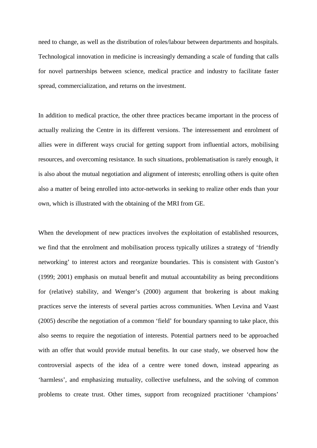need to change, as well as the distribution of roles/labour between departments and hospitals. Technological innovation in medicine is increasingly demanding a scale of funding that calls for novel partnerships between science, medical practice and industry to facilitate faster spread, commercialization, and returns on the investment.

In addition to medical practice, the other three practices became important in the process of actually realizing the Centre in its different versions. The interessement and enrolment of allies were in different ways crucial for getting support from influential actors, mobilising resources, and overcoming resistance. In such situations, problematisation is rarely enough, it is also about the mutual negotiation and alignment of interests; enrolling others is quite often also a matter of being enrolled into actor-networks in seeking to realize other ends than your own, which is illustrated with the obtaining of the MRI from GE.

When the development of new practices involves the exploitation of established resources, we find that the enrolment and mobilisation process typically utilizes a strategy of 'friendly networking' to interest actors and reorganize boundaries. This is consistent with Guston's (1999; 2001) emphasis on mutual benefit and mutual accountability as being preconditions for (relative) stability, and Wenger's (2000) argument that brokering is about making practices serve the interests of several parties across communities. When Levina and Vaast (2005) describe the negotiation of a common 'field' for boundary spanning to take place, this also seems to require the negotiation of interests. Potential partners need to be approached with an offer that would provide mutual benefits. In our case study, we observed how the controversial aspects of the idea of a centre were toned down, instead appearing as 'harmless', and emphasizing mutuality, collective usefulness, and the solving of common problems to create trust. Other times, support from recognized practitioner 'champions'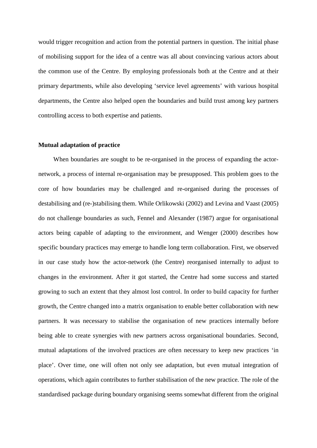would trigger recognition and action from the potential partners in question. The initial phase of mobilising support for the idea of a centre was all about convincing various actors about the common use of the Centre. By employing professionals both at the Centre and at their primary departments, while also developing 'service level agreements' with various hospital departments, the Centre also helped open the boundaries and build trust among key partners controlling access to both expertise and patients.

#### **Mutual adaptation of practice**

When boundaries are sought to be re-organised in the process of expanding the actornetwork, a process of internal re-organisation may be presupposed. This problem goes to the core of how boundaries may be challenged and re-organised during the processes of destabilising and (re-)stabilising them. While Orlikowski (2002) and Levina and Vaast (2005) do not challenge boundaries as such, Fennel and Alexander (1987) argue for organisational actors being capable of adapting to the environment, and Wenger (2000) describes how specific boundary practices may emerge to handle long term collaboration. First, we observed in our case study how the actor-network (the Centre) reorganised internally to adjust to changes in the environment. After it got started, the Centre had some success and started growing to such an extent that they almost lost control. In order to build capacity for further growth, the Centre changed into a matrix organisation to enable better collaboration with new partners. It was necessary to stabilise the organisation of new practices internally before being able to create synergies with new partners across organisational boundaries. Second, mutual adaptations of the involved practices are often necessary to keep new practices 'in place'. Over time, one will often not only see adaptation, but even mutual integration of operations, which again contributes to further stabilisation of the new practice. The role of the standardised package during boundary organising seems somewhat different from the original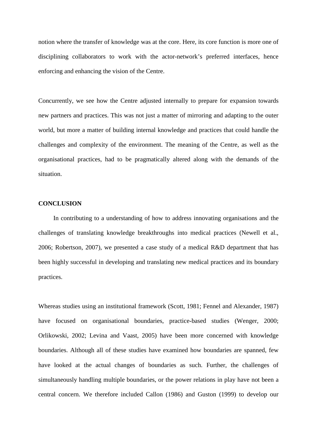notion where the transfer of knowledge was at the core. Here, its core function is more one of disciplining collaborators to work with the actor-network's preferred interfaces, hence enforcing and enhancing the vision of the Centre.

Concurrently, we see how the Centre adjusted internally to prepare for expansion towards new partners and practices. This was not just a matter of mirroring and adapting to the outer world, but more a matter of building internal knowledge and practices that could handle the challenges and complexity of the environment. The meaning of the Centre, as well as the organisational practices, had to be pragmatically altered along with the demands of the situation.

## **CONCLUSION**

In contributing to a understanding of how to address innovating organisations and the challenges of translating knowledge breakthroughs into medical practices (Newell et al., 2006; Robertson, 2007), we presented a case study of a medical R&D department that has been highly successful in developing and translating new medical practices and its boundary practices.

Whereas studies using an institutional framework (Scott, 1981; Fennel and Alexander, 1987) have focused on organisational boundaries, practice-based studies (Wenger, 2000; Orlikowski, 2002; Levina and Vaast, 2005) have been more concerned with knowledge boundaries. Although all of these studies have examined how boundaries are spanned, few have looked at the actual changes of boundaries as such. Further, the challenges of simultaneously handling multiple boundaries, or the power relations in play have not been a central concern. We therefore included Callon (1986) and Guston (1999) to develop our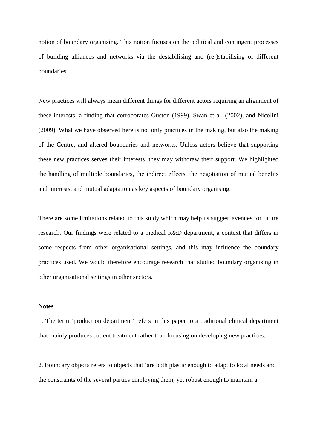notion of boundary organising. This notion focuses on the political and contingent processes of building alliances and networks via the destabilising and (re-)stabilising of different boundaries.

New practices will always mean different things for different actors requiring an alignment of these interests, a finding that corroborates Guston (1999), Swan et al. (2002), and Nicolini (2009). What we have observed here is not only practices in the making, but also the making of the Centre, and altered boundaries and networks. Unless actors believe that supporting these new practices serves their interests, they may withdraw their support. We highlighted the handling of multiple boundaries, the indirect effects, the negotiation of mutual benefits and interests, and mutual adaptation as key aspects of boundary organising.

There are some limitations related to this study which may help us suggest avenues for future research. Our findings were related to a medical R&D department, a context that differs in some respects from other organisational settings, and this may influence the boundary practices used. We would therefore encourage research that studied boundary organising in other organisational settings in other sectors.

## **Notes**

1. The term 'production department' refers in this paper to a traditional clinical department that mainly produces patient treatment rather than focusing on developing new practices.

2. Boundary objects refers to objects that 'are both plastic enough to adapt to local needs and the constraints of the several parties employing them, yet robust enough to maintain a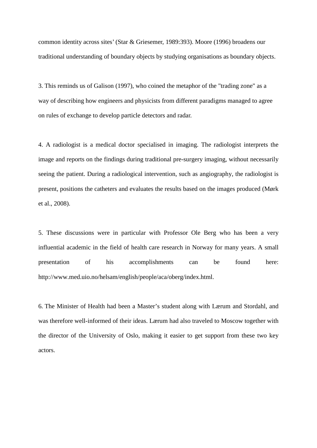common identity across sites' (Star & Griesemer, 1989:393). Moore (1996) broadens our traditional understanding of boundary objects by studying organisations as boundary objects.

3. This reminds us of Galison (1997), who coined the metaphor of the "trading zone" as a way of describing how engineers and physicists from different paradigms managed to agree on rules of exchange to develop particle detectors and radar.

4. A radiologist is a medical doctor specialised in imaging. The radiologist interprets the image and reports on the findings during traditional pre-surgery imaging, without necessarily seeing the patient. During a radiological intervention, such as angiography, the radiologist is present, positions the catheters and evaluates the results based on the images produced (Mørk et al., 2008).

5. These discussions were in particular with Professor Ole Berg who has been a very influential academic in the field of health care research in Norway for many years. A small presentation of his accomplishments can be found here: http://www.med.uio.no/helsam/english/people/aca/oberg/index.html.

6. The Minister of Health had been a Master's student along with Lærum and Stordahl, and was therefore well-informed of their ideas. Lærum had also traveled to Moscow together with the director of the University of Oslo, making it easier to get support from these two key actors.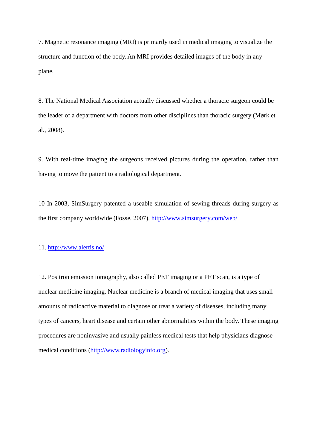7. Magnetic resonance imaging (MRI) is primarily used in medical imaging to visualize the structure and function of the body. An MRI provides detailed images of the body in any plane.

8. The National Medical Association actually discussed whether a thoracic surgeon could be the leader of a department with doctors from other disciplines than thoracic surgery (Mørk et al., 2008).

9. With real-time imaging the surgeons received pictures during the operation, rather than having to move the patient to a radiological department.

10 In 2003, SimSurgery patented a useable simulation of sewing threads during surgery as the first company worldwide (Fosse, 2007).<http://www.simsurgery.com/web/>

11. <http://www.alertis.no/>

12. Positron emission tomography, also called PET imaging or a PET scan, is a type of nuclear medicine imaging. Nuclear medicine is a branch of medical imaging that uses small amounts of radioactive material to diagnose or treat a variety of diseases, including many types of cancers, heart disease and certain other abnormalities within the body. These imaging procedures are noninvasive and usually painless medical tests that help physicians diagnose medical conditions [\(http://www.radiologyinfo.org\)](http://www.radiologyinfo.org/).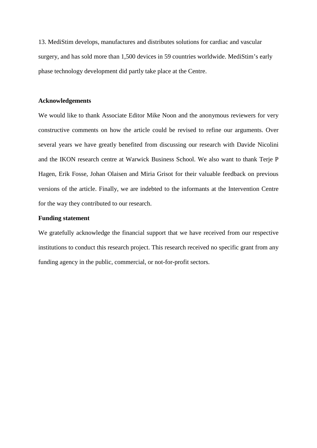13. MediStim develops, manufactures and distributes solutions for cardiac and vascular surgery, and has sold more than 1,500 devices in 59 countries worldwide. MediStim's early phase technology development did partly take place at the Centre.

## **Acknowledgements**

We would like to thank Associate Editor Mike Noon and the anonymous reviewers for very constructive comments on how the article could be revised to refine our arguments. Over several years we have greatly benefited from discussing our research with Davide Nicolini and the IKON research centre at Warwick Business School. We also want to thank Terje P Hagen, Erik Fosse, Johan Olaisen and Miria Grisot for their valuable feedback on previous versions of the article. Finally, we are indebted to the informants at the Intervention Centre for the way they contributed to our research.

## **Funding statement**

We gratefully acknowledge the financial support that we have received from our respective institutions to conduct this research project. This research received no specific grant from any funding agency in the public, commercial, or not-for-profit sectors.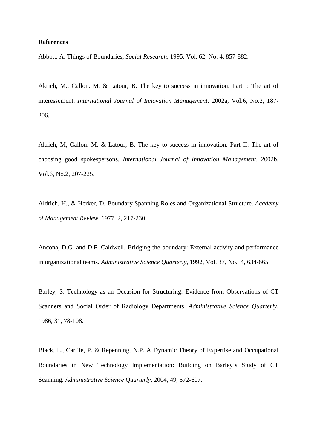#### **References**

Abbott, A. Things of Boundaries, *Social Research*, 1995, Vol. 62, No. 4, 857-882.

Akrich, M., Callon. M. & Latour, B. The key to success in innovation. Part I: The art of interessement. *International Journal of Innovation Management*. 2002a, Vol.6, No.2, 187- 206.

Akrich, M, Callon. M. & Latour, B. The key to success in innovation. Part II: The art of choosing good spokespersons. *International Journal of Innovation Management*. 2002b, Vol.6, No.2, 207-225.

Aldrich, H., & Herker, D. Boundary Spanning Roles and Organizational Structure. *Academy of Management Review*, 1977, 2, 217-230.

Ancona, D.G. and D.F. Caldwell. Bridging the boundary: External activity and performance in organizational teams. *Administrative Science Quarterly,* 1992, Vol. 37, No. 4, 634-665.

Barley, S. Technology as an Occasion for Structuring: Evidence from Observations of CT Scanners and Social Order of Radiology Departments. *Administrative Science Quarterly*, 1986, 31, 78-108.

Black, L., Carlile, P. & Repenning, N.P. A Dynamic Theory of Expertise and Occupational Boundaries in New Technology Implementation: Building on Barley's Study of CT Scanning. *Administrative Science Quarterly,* 2004, 49, 572-607.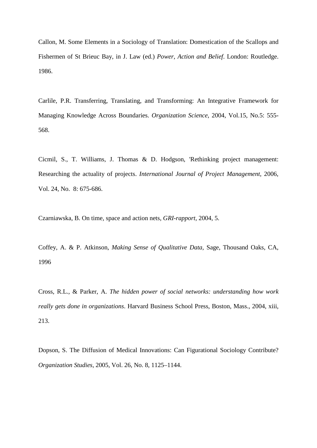Callon, M. Some Elements in a Sociology of Translation: Domestication of the Scallops and Fishermen of St Brieuc Bay, in J. Law (ed.) *Power, Action and Belief*. London: Routledge. 1986.

Carlile, P.R. Transferring, Translating, and Transforming: An Integrative Framework for Managing Knowledge Across Boundaries. *Organization Science*, 2004, Vol.15, No.5: 555- 568.

Cicmil, S., T. Williams, J. Thomas & D. Hodgson, 'Rethinking project management: Researching the actuality of projects. *International Journal of Project Management*, 2006, Vol. 24, No. 8: 675-686.

Czarniawska, B. On time, space and action nets, *GRI-rapport*, 2004, 5.

Coffey, A. & P. Atkinson, *Making Sense of Qualitative Data*, Sage, Thousand Oaks, CA, 1996

Cross, R.L., & Parker, A. *The hidden power of social networks: understanding how work really gets done in organizations*. Harvard Business School Press, Boston, Mass., 2004, xiii, 213.

Dopson, S. The Diffusion of Medical Innovations: Can Figurational Sociology Contribute? *Organization Studies*, 2005, Vol. 26, No. 8, 1125–1144.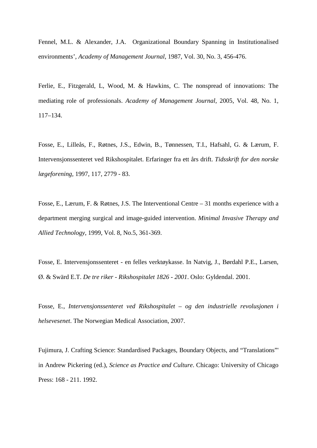Fennel, M.L. & Alexander, J.A. Organizational Boundary Spanning in Institutionalised environments', *Academy of Management Journal*, 1987, Vol. 30, No. 3, 456-476.

Ferlie, E., Fitzgerald, L, Wood, M. & Hawkins, C. The nonspread of innovations: The mediating role of professionals. *Academy of Management Journal*, 2005, Vol. 48, No. 1, 117–134.

Fosse, E., Lilleås, F., Røtnes, J.S., Edwin, B., Tønnessen, T.I., Hafsahl, G. & Lærum, F. Intervensjonssenteret ved Rikshospitalet. Erfaringer fra ett års drift. *Tidsskrift for den norske lægeforening,* 1997, 117, 2779 - 83.

Fosse, E., Lærum, F. & Røtnes, J.S. The Interventional Centre – 31 months experience with a department merging surgical and image-guided intervention. *Minimal Invasive Therapy and Allied Technology*, 1999, Vol. 8, No.5, 361-369.

Fosse, E. Intervensjonssenteret - en felles verktøykasse. In Natvig, J., Børdahl P.E., Larsen, Ø. & Swärd E.T. *De tre riker - Rikshospitalet 1826 - 2001*. Oslo: Gyldendal. 2001.

Fosse, E., *Intervensjonssenteret ved Rikshospitalet – og den industrielle revolusjonen i helsevesenet*. The Norwegian Medical Association, 2007.

Fujimura, J. Crafting Science: Standardised Packages, Boundary Objects, and "Translations"' in Andrew Pickering (ed.), *Science as Practice and Culture*. Chicago: University of Chicago Press: 168 - 211. 1992.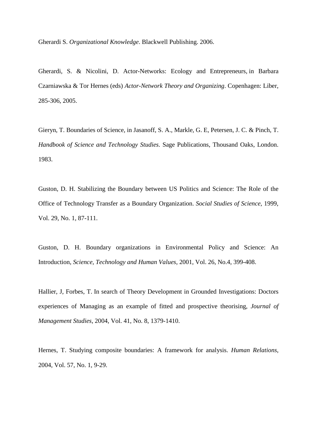Gherardi S. *Organizational Knowledge*. Blackwell Publishing. 2006.

Gherardi, S. & Nicolini, D. Actor-Networks: Ecology and Entrepreneurs, in Barbara Czarniawska & Tor Hernes (eds) *Actor-Network Theory and Organizing*. Copenhagen: Liber, 285-306, 2005.

Gieryn, T. Boundaries of Science, in Jasanoff, S. A., Markle, G. E, Petersen, J. C. & Pinch, T. *Handbook of Science and Technology Studies*. Sage Publications, Thousand Oaks, London. 1983.

Guston, D. H. Stabilizing the Boundary between US Politics and Science: The Role of the Office of Technology Transfer as a Boundary Organization. *Social Studies of Science,* 1999, Vol. 29, No. 1, 87-111.

Guston, D. H. Boundary organizations in Environmental Policy and Science: An Introduction, *Science, Technology and Human Values*, 2001, Vol. 26, No.4, 399-408.

Hallier, J, Forbes, T. In search of Theory Development in Grounded Investigations: Doctors experiences of Managing as an example of fitted and prospective theorising, *Journal of Management Studies*, 2004, Vol. 41, No. 8, 1379-1410.

Hernes, T. Studying composite boundaries: A framework for analysis. *Human Relations*, 2004, Vol. 57, No. 1, 9-29.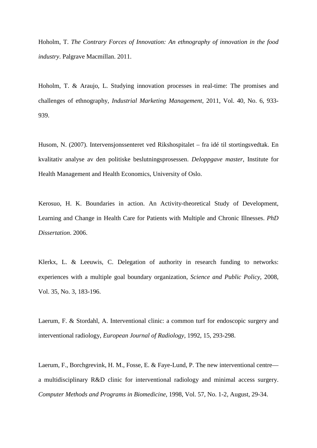Hoholm, T. *The Contrary Forces of Innovation: An ethnography of innovation in the food industry*. Palgrave Macmillan. 2011.

Hoholm, T. & Araujo, L. Studying innovation processes in real-time: The promises and challenges of ethnography, *Industrial Marketing Management,* 2011, Vol. 40, No. 6, 933- 939.

Husom, N. (2007). Intervensjonssenteret ved Rikshospitalet – fra idé til stortingsvedtak. En kvalitativ analyse av den politiske beslutningsprosessen. *Deloppgave master*, Institute for Health Management and Health Economics, University of Oslo.

Kerosuo, H. K. Boundaries in action. An Activity-theoretical Study of Development, Learning and Change in Health Care for Patients with Multiple and Chronic Illnesses. *PhD Dissertation*. 2006.

Klerkx, L. & Leeuwis, C. Delegation of authority in research funding to networks: experiences with a multiple goal boundary organization, *Science and Public Policy*, 2008, Vol. 35, No. 3, 183-196.

Laerum, F. & Stordahl, A. Interventional clinic: a common turf for endoscopic surgery and interventional radiology, *European Journal of Radiology*, 1992, 15, 293-298.

Laerum, F., Borchgrevink, H. M., Fosse, E. & Faye-Lund, P. The new interventional centre a multidisciplinary R&D clinic for interventional radiology and minimal access surgery. *Computer Methods and Programs in Biomedicine*, 1998, Vol. 57, No. 1-2, August, 29-34.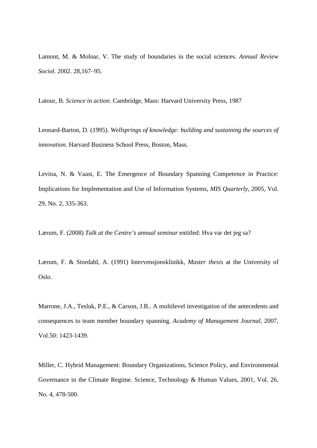Lamont, M. & Molnar, V. The study of boundaries in the social sciences. *Annual Review Sociol*. 2002. 28,167–95.

Latour, B. *Science in action*. Cambridge, Mass: Harvard University Press, 1987

Leonard-Barton, D. (1995). *Wellsprings of knowledge: building and sustaining the sources of innovation*. Harvard Business School Press, Boston, Mass.

Levina, N. & Vaast, E. The Emergence of Boundary Spanning Competence in Practice: Implications for Implementation and Use of Information Systems, *MIS Quarterly,* 2005, Vol. 29, No. 2, 335-363.

Lærum, F. (2008) *Talk at the Centre's annual seminar* entitled: Hva var det jeg sa?

Lærum, F. & Stordahl, A. (1991) Intervensjonsklinikk, *Master thesis* at the University of Oslo.

Marrone, J.A., Tesluk, P.E., & Carson, J.B.. A multilevel investigation of the antecedents and consequences to team member boundary spanning. *Academy of Management Journal,* 2007, Vol.50: 1423-1439.

Miller, C. Hybrid Management: Boundary Organizations, Science Policy, and Environmental Governance in the Climate Regime. Science, Technology & Human Values, 2001, Vol. 26, No. 4, 478-500.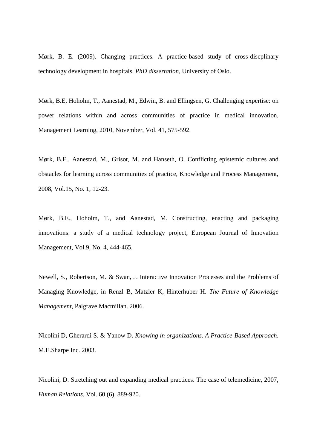Mørk, B. E. (2009). Changing practices. A practice-based study of cross-discplinary technology development in hospitals. *PhD dissertation*, University of Oslo.

Mørk, B.E, Hoholm, T., Aanestad, M., Edwin, B. and Ellingsen, G. [Challenging expertise: on](http://mlq.sagepub.com/content/41/5/575.abstract)  [power relations within and across communities of practice in medical innovation,](http://mlq.sagepub.com/content/41/5/575.abstract)  [Management Learning,](http://mlq.sagepub.com/content/41/5/575.abstract) 2010, November, Vol. 41, 575-592.

Mørk, B.E., Aanestad, M., Grisot, M. and Hanseth, O. Conflicting epistemic cultures and obstacles for learning across communities of practice, Knowledge and Process Management, 2008, Vol.15, No. 1, 12-23.

Mørk, B.E., Hoholm, T., and Aanestad, M. Constructing, enacting and packaging innovations: a study of a medical technology project, European Journal of Innovation Management, Vol.9, No. 4, 444-465.

Newell, S., Robertson, M. & Swan, J. Interactive Innovation Processes and the Problems of Managing Knowledge, in Renzl B, Matzler K, Hinterhuber H. *The Future of Knowledge Management*, Palgrave Macmillan. 2006.

Nicolini D, Gherardi S. & Yanow D. *Knowing in organizations. A Practice-Based Approach*. M.E.Sharpe Inc. 2003.

Nicolini, D. Stretching out and expanding medical practices. The case of telemedicine, 2007, *Human Relations*, Vol. 60 (6), 889-920.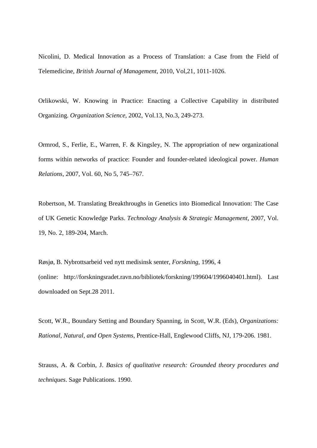Nicolini, D. Medical Innovation as a Process of Translation: a Case from the Field of Telemedicine, *British Journal of Management*, 2010, Vol,21, 1011-1026.

Orlikowski, W. Knowing in Practice: Enacting a Collective Capability in distributed Organizing. *Organization Science*, 2002, Vol.13, No.3, 249-273.

Ormrod, S., Ferlie, E., Warren, F. & Kingsley, N. The appropriation of new organizational forms within networks of practice: Founder and founder-related ideological power. *Human Relations,* 2007, Vol. 60, No 5, 745–767.

Robertson, M. Translating Breakthroughs in Genetics into Biomedical Innovation: The Case of UK Genetic Knowledge Parks. *Technology Analysis & Strategic Management*, 2007, Vol. 19, No. 2, 189-204, March.

Røsjø, B. Nybrottsarbeid ved nytt medisinsk senter, *Forskning*, 1996, 4 (online: http://forskningsradet.ravn.no/bibliotek/forskning/199604/1996040401.html). Last downloaded on Sept.28 2011.

Scott, W.R., Boundary Setting and Boundary Spanning, in Scott, W.R. (Eds), *Organizations: Rational, Natural, and Open Systems*, Prentice-Hall, Englewood Cliffs, NJ, 179-206. 1981.

Strauss, A. & Corbin, J. *Basics of qualitative research: Grounded theory procedures and techniques*. Sage Publications. 1990.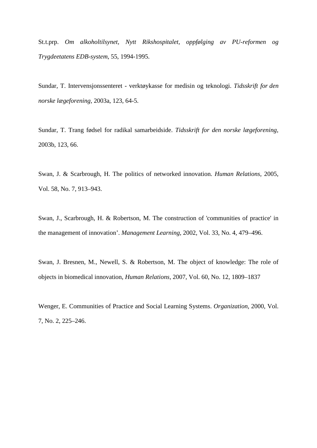St.t.prp. *Om alkoholtilsynet, Nytt Rikshospitalet, oppfølging av PU-reformen og Trygdeetatens EDB-system*, 55, 1994-1995.

Sundar, T. Intervensjonssenteret - verktøykasse for medisin og teknologi. *Tidsskrift for den norske lægeforening,* 2003a, 123, 64-5.

Sundar, T. Trang fødsel for radikal samarbeidside. *Tidsskrift for den norske lægeforening*, 2003b, 123, 66.

Swan, J. & Scarbrough, H. The politics of networked innovation. *Human Relations,* 2005, Vol. 58, No. 7, 913–943.

Swan, J., Scarbrough, H. & Robertson, M. The construction of 'communities of practice' in the management of innovation'. *Management Learning*, 2002, Vol. 33, No. 4, 479–496.

Swan, J. Bresnen, M., Newell, S. & Robertson, M. The object of knowledge: The role of objects in biomedical innovation, *Human Relations,* 2007, Vol. 60, No. 12, 1809–1837

Wenger, E. Communities of Practice and Social Learning Systems. *Organization*, 2000, Vol. 7, No. 2, 225–246.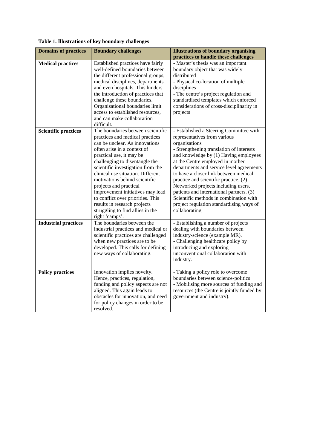| <b>Domains of practices</b><br><b>Boundary challenges</b> |                                                                                                                                                                                                                                                                                                                                                                                                                                                                                                         | <b>Illustrations of boundary organising</b>                                                                                                                                                                                                                                                                                                                                                                                                                                                                                               |  |  |
|-----------------------------------------------------------|---------------------------------------------------------------------------------------------------------------------------------------------------------------------------------------------------------------------------------------------------------------------------------------------------------------------------------------------------------------------------------------------------------------------------------------------------------------------------------------------------------|-------------------------------------------------------------------------------------------------------------------------------------------------------------------------------------------------------------------------------------------------------------------------------------------------------------------------------------------------------------------------------------------------------------------------------------------------------------------------------------------------------------------------------------------|--|--|
|                                                           |                                                                                                                                                                                                                                                                                                                                                                                                                                                                                                         | practices to handle these challenges                                                                                                                                                                                                                                                                                                                                                                                                                                                                                                      |  |  |
| <b>Medical practices</b>                                  | Established practices have fairly<br>well-defined boundaries between<br>the different professional groups,<br>medical disciplines, departments<br>and even hospitals. This hinders<br>the introduction of practices that<br>challenge these boundaries.<br>Organisational boundaries limit<br>access to established resources,<br>and can make collaboration<br>difficult.                                                                                                                              | - Master's thesis was an important<br>boundary object that was widely<br>distributed<br>- Physical co-location of multiple<br>disciplines<br>- The centre's project regulation and<br>standardised templates which enforced<br>considerations of cross-disciplinarity in<br>projects                                                                                                                                                                                                                                                      |  |  |
| <b>Scientific practices</b>                               | The boundaries between scientific<br>practices and medical practices<br>can be unclear. As innovations<br>often arise in a context of<br>practical use, it may be<br>challenging to disentangle the<br>scientific investigation from the<br>clinical use situation. Different<br>motivations behind scientific<br>projects and practical<br>improvement initiatives may lead<br>to conflict over priorities. This<br>results in research projects<br>struggling to find allies in the<br>right 'camps'. | - Established a Steering Committee with<br>representatives from various<br>organisations<br>- Strengthening translation of interests<br>and knowledge by (1) Having employees<br>at the Centre employed in mother<br>departments and service level agreements<br>to have a closer link between medical<br>practice and scientific practice. (2)<br>Networked projects including users,<br>patients and international partners. (3)<br>Scientific methods in combination with<br>project regulation standardising ways of<br>collaborating |  |  |
| <b>Industrial practices</b>                               | The boundaries between the<br>industrial practices and medical or<br>scientific practices are challenged<br>when new practices are to be<br>developed. This calls for defining<br>new ways of collaborating.                                                                                                                                                                                                                                                                                            | - Establishing a number of projects<br>dealing with boundaries between<br>industry-science (example MR).<br>- Challenging healthcare policy by<br>introducing and exploring<br>unconventional collaboration with<br>industry.                                                                                                                                                                                                                                                                                                             |  |  |
| <b>Policy practices</b>                                   | Innovation implies novelty.<br>Hence, practices, regulation,<br>funding and policy aspects are not<br>aligned. This again leads to<br>obstacles for innovation, and need<br>for policy changes in order to be<br>resolved.                                                                                                                                                                                                                                                                              | - Taking a policy role to overcome<br>boundaries between science-politics<br>- Mobilising more sources of funding and<br>resources (the Centre is jointly funded by<br>government and industry).                                                                                                                                                                                                                                                                                                                                          |  |  |

**Table 1. Illustrations of key boundary challenges**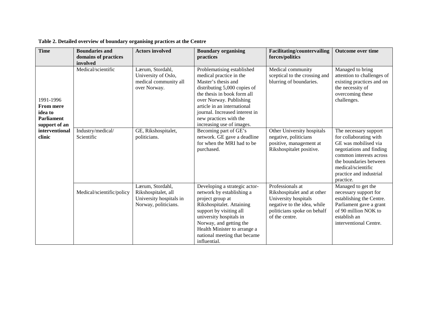| <b>Time</b>                                                                    | <b>Boundaries and</b><br>domains of practices | <b>Actors involved</b>                                                                     | <b>Boundary organising</b><br>practices                                                                                                                                                                                                                                                        | <b>Facilitating/countervailing</b><br>forces/politics                                                                                                   | <b>Outcome over time</b>                                                                                                                                                                                               |
|--------------------------------------------------------------------------------|-----------------------------------------------|--------------------------------------------------------------------------------------------|------------------------------------------------------------------------------------------------------------------------------------------------------------------------------------------------------------------------------------------------------------------------------------------------|---------------------------------------------------------------------------------------------------------------------------------------------------------|------------------------------------------------------------------------------------------------------------------------------------------------------------------------------------------------------------------------|
|                                                                                | involved                                      |                                                                                            |                                                                                                                                                                                                                                                                                                |                                                                                                                                                         |                                                                                                                                                                                                                        |
| 1991-1996<br><b>From mere</b><br>idea to<br><b>Parliament</b><br>support of an | Medical/scientific                            | Lærum, Stordahl,<br>University of Oslo,<br>medical community all<br>over Norway.           | Problematising established<br>medical practice in the<br>Master's thesis and<br>distributing 5,000 copies of<br>the thesis in book form all<br>over Norway. Publishing<br>article in an international<br>journal. Increased interest in<br>new practices with the<br>increasing use of images. | Medical community<br>sceptical to the crossing and<br>blurring of boundaries.                                                                           | Managed to bring<br>attention to challenges of<br>existing practices and on<br>the necessity of<br>overcoming these<br>challenges.                                                                                     |
| interventional<br>clinic                                                       | Industry/medical/<br>Scientific               | GE, Rikshospitalet,<br>politicians.                                                        | Becoming part of GE's<br>network. GE gave a deadline<br>for when the MRI had to be<br>purchased.                                                                                                                                                                                               | Other University hospitals<br>negative, politicians<br>positive, management at<br>Rikshospitalet positive.                                              | The necessary support<br>for collaborating with<br>GE was mobilised via<br>negotiations and finding<br>common interests across<br>the boundaries between<br>medical/scientific<br>practice and industrial<br>practice. |
|                                                                                | Medical/scientific/policy                     | Lærum, Stordahl,<br>Rikshospitalet, all<br>University hospitals in<br>Norway, politicians. | Developing a strategic actor-<br>network by establishing a<br>project group at<br>Rikshospitalet. Attaining<br>support by visiting all<br>university hospitals in<br>Norway, and getting the<br>Health Minister to arrange a<br>national meeting that became<br>influential.                   | Professionals at<br>Rikshospitalet and at other<br>University hospitals<br>negative to the idea, while<br>politicians spoke on behalf<br>of the centre. | Managed to get the<br>necessary support for<br>establishing the Centre.<br>Parliament gave a grant<br>of 90 million NOK to<br>establish an<br>interventional Centre.                                                   |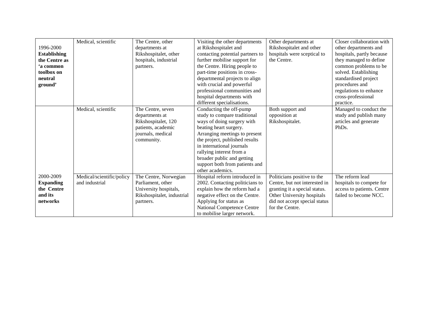|                       | Medical, scientific       | The Centre, other          | Visiting the other departments                       | Other departments at                                        | Closer collaboration with                           |
|-----------------------|---------------------------|----------------------------|------------------------------------------------------|-------------------------------------------------------------|-----------------------------------------------------|
| 1996-2000             |                           | departments at             | at Rikshospitalet and                                | Rikshospitalet and other                                    | other departments and                               |
| <b>Establishing</b>   |                           | Rikshospitalet, other      | contacting potential partners to                     | hospitals were sceptical to                                 | hospitals, partly because                           |
| the Centre as         |                           | hospitals, industrial      | further mobilise support for                         | the Centre.                                                 | they managed to define                              |
| 'a common             |                           | partners.                  | the Centre. Hiring people to                         |                                                             | common problems to be                               |
| toolbox on            |                           |                            | part-time positions in cross-                        |                                                             | solved. Establishing                                |
| neutral               |                           |                            | departmental projects to align                       |                                                             | standardised project                                |
| ground'               |                           |                            | with crucial and powerful                            |                                                             | procedures and                                      |
|                       |                           |                            | professional communities and                         |                                                             | regulations to enhance                              |
|                       |                           |                            | hospital departments with                            |                                                             | cross-professional                                  |
|                       |                           |                            | different specialisations.                           |                                                             | practice.                                           |
|                       | Medical, scientific       | The Centre, seven          | Conducting the off-pump                              | Both support and                                            | Managed to conduct the                              |
|                       |                           | departments at             | study to compare traditional                         | opposition at                                               | study and publish many                              |
|                       |                           | Rikshospitalet, 120        | ways of doing surgery with                           | Rikshospitalet.                                             | articles and generate                               |
|                       |                           | patients, academic         | beating heart surgery.                               |                                                             | PhD <sub>s</sub> .                                  |
|                       |                           | journals, medical          | Arranging meetings to present                        |                                                             |                                                     |
|                       |                           | community.                 | the project, published results                       |                                                             |                                                     |
|                       |                           |                            | in international journals                            |                                                             |                                                     |
|                       |                           |                            | rallying interest from a                             |                                                             |                                                     |
|                       |                           |                            | broader public and getting                           |                                                             |                                                     |
|                       |                           |                            | support both from patients and                       |                                                             |                                                     |
|                       |                           |                            | other academics.                                     |                                                             |                                                     |
| 2000-2009             | Medical/scientific/policy | The Centre, Norwegian      | Hospital reform introduced in                        | Politicians positive to the                                 | The reform lead                                     |
| <b>Expanding</b>      | and industrial            | Parliament, other          | 2002. Contacting politicians to                      | Centre, but not interested in                               | hospitals to compete for                            |
| the Centre<br>and its |                           | University hospitals,      | explain how the reform had a                         | granting it a special status.                               | access to patients. Centre<br>failed to become NCC. |
| networks              |                           | Rikshospitalet, industrial | negative effect on the Centre.                       | Other University hospitals<br>did not accept special status |                                                     |
|                       |                           | partners.                  | Applying for status as<br>National Competence Centre | for the Centre.                                             |                                                     |
|                       |                           |                            | to mobilise larger network.                          |                                                             |                                                     |
|                       |                           |                            |                                                      |                                                             |                                                     |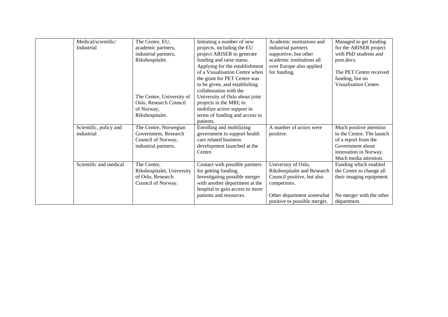| Medical/scientific/    | The Centre, EU,            | Initiating a number of new      | Academic institutions and    | Managed to get funding    |
|------------------------|----------------------------|---------------------------------|------------------------------|---------------------------|
| Industrial             | academic partners,         | projects, including the EU      | industrial partners          | for the ARISER project    |
|                        | industrial partners,       | project ARISER to generate      | supportive, but other        | with PhD students and     |
|                        | Rikshospitalet.            | funding and raise status.       | academic institutions all    | post.docs.                |
|                        |                            | Applying for the establishment  | over Europe also applied     |                           |
|                        |                            | of a Visualisation Centre when  | for funding.                 | The PET Centre received   |
|                        |                            | the grant for PET Centre was    |                              | funding, but no           |
|                        |                            | to be given, and establishing   |                              | Visualisation Centre.     |
|                        |                            | collaboration with the          |                              |                           |
|                        | The Centre, University of  | University of Oslo about joint  |                              |                           |
|                        | Oslo, Research Council     | projects in the MRI; to         |                              |                           |
|                        | of Norway,                 | mobilize active support in      |                              |                           |
|                        | Rikshospitalet.            | terms of funding and access to  |                              |                           |
|                        |                            | patients.                       |                              |                           |
| Scientific, policy and | The Centre, Norwegian      | Enrolling and mobilizing        | A number of actors were      | Much positive attention   |
| industrial             | Government, Research       | government to support health    | positive.                    | to the Centre. The launch |
|                        | Council of Norway,         | care related business           |                              | of a report from the      |
|                        | industrial partners.       | development launched at the     |                              | Government about          |
|                        |                            | Centre.                         |                              | innovation in Norway.     |
|                        |                            |                                 |                              | Much media attention.     |
| Scientific and medical | The Centre,                | Contact with possible partners  | University of Oslo,          | Funding which enabled     |
|                        | Rikshospitalet, University | for getting funding.            | Rikshospitalet and Research  | the Centre to change all  |
|                        | of Oslo, Research          | Investigating possible merger   | Council positive, but also   | their imaging equipment.  |
|                        | Council of Norway.         | with another department at the  | competitors.                 |                           |
|                        |                            | hospital to gain access to more |                              |                           |
|                        |                            | patients and resources.         | Other department somewhat    | No merger with the other  |
|                        |                            |                                 | positive to possible merger. | department.               |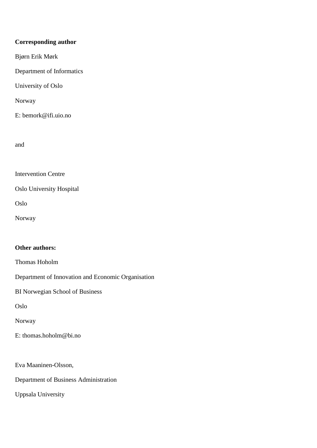## **Corresponding author**

Bjørn Erik Mørk

Department of Informatics

University of Oslo

Norway

E: bemork@ifi.uio.no

and

Intervention Centre

Oslo University Hospital

Oslo

Norway

## **Other authors:**

Thomas Hoholm

Department of Innovation and Economic Organisation

BI Norwegian School of Business

Oslo

Norway

E: thomas.hoholm@bi.no

Eva Maaninen-Olsson,

Department of Business Administration

Uppsala University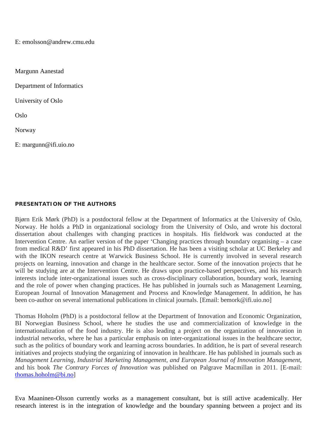E: emolsson@andrew.cmu.edu

Margunn Aanestad Department of Informatics University of Oslo Oslo Norway E: margunn@ifi.uio.no

## **PRESENTATION OF THE AUTHORS**

Bjørn Erik Mørk (PhD) is a postdoctoral fellow at the Department of Informatics at the University of Oslo, Norway. He holds a PhD in organizational sociology from the University of Oslo, and wrote his doctoral dissertation about challenges with changing practices in hospitals. His fieldwork was conducted at the Intervention Centre. An earlier version of the paper 'Changing practices through boundary organising – a case from medical R&D' first appeared in his PhD dissertation. He has been a visiting scholar at UC Berkeley and with the IKON research centre at Warwick Business School. He is currently involved in several research projects on learning, innovation and change in the healthcare sector. Some of the innovation projects that he will be studying are at the Intervention Centre. He draws upon practice-based perspectives, and his research interests include inter-organizational issues such as cross-disciplinary collaboration, boundary work, learning and the role of power when changing practices. He has published in journals such as Management Learning, European Journal of Innovation Management and Process and Knowledge Management. In addition, he has been co-author on several international publications in clinical journals. [Email: bemork@ifi.uio.no]

Thomas Hoholm (PhD) is a postdoctoral fellow at the Department of Innovation and Economic Organization, BI Norwegian Business School, where he studies the use and commercialization of knowledge in the internationalization of the food industry. He is also leading a project on the organization of innovation in industrial networks, where he has a particular emphasis on inter-organizational issues in the healthcare sector, such as the politics of boundary work and learning across boundaries. In addition, he is part of several research initiatives and projects studying the organizing of innovation in healthcare. He has published in journals such as *Management Learning, Industrial Marketing Management, and European Journal of Innovation Management*, and his book *The Contrary Forces of Innovation* was published on Palgrave Macmillan in 2011. [E-mail: [thomas.hoholm@bi.no\]](mailto:thomas.hoholm@bi.no)

Eva Maaninen-Olsson currently works as a management consultant, but is still active academically. Her research interest is in the integration of knowledge and the boundary spanning between a project and its